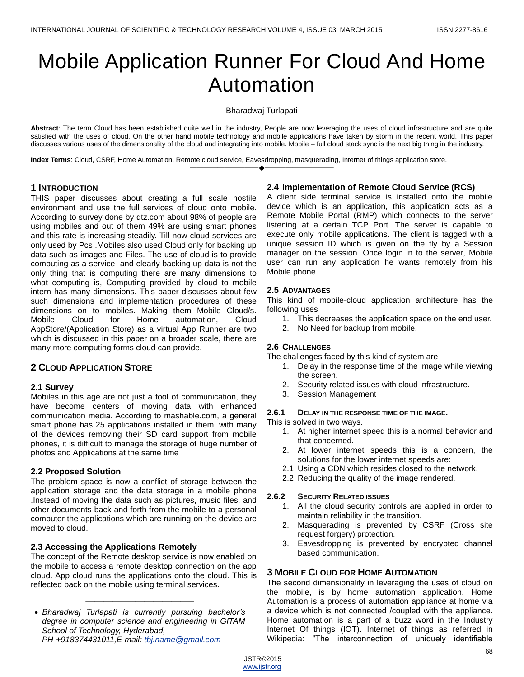# Mobile Application Runner For Cloud And Home Automation

Bharadwaj Turlapati

**Abstract**: The term Cloud has been established quite well in the industry, People are now leveraging the uses of cloud infrastructure and are quite satisfied with the uses of cloud. On the other hand mobile technology and mobile applications have taken by storm in the recent world. This paper discusses various uses of the dimensionality of the cloud and integrating into mobile. Mobile – full cloud stack sync is the next big thing in the industry.

————————————————————

**Index Terms**: Cloud, CSRF, Home Automation, Remote cloud service, Eavesdropping, masquerading, Internet of things application store.

# **1 INTRODUCTION**

THIS paper discusses about creating a full scale hostile environment and use the full services of cloud onto mobile. According to survey done by qtz.com about 98% of people are using mobiles and out of them 49% are using smart phones and this rate is increasing steadily. Till now cloud services are only used by Pcs .Mobiles also used Cloud only for backing up data such as images and Files. The use of cloud is to provide computing as a service and clearly backing up data is not the only thing that is computing there are many dimensions to what computing is, Computing provided by cloud to mobile intern has many dimensions. This paper discusses about few such dimensions and implementation procedures of these dimensions on to mobiles. Making them Mobile Cloud/s. Mobile Cloud for Home automation, Cloud AppStore/(Application Store) as a virtual App Runner are two which is discussed in this paper on a broader scale, there are many more computing forms cloud can provide.

# **2 CLOUD APPLICATION STORE**

## **2.1 Survey**

Mobiles in this age are not just a tool of communication, they have become centers of moving data with enhanced communication media. According to mashable.com, a general smart phone has 25 applications installed in them, with many of the devices removing their SD card support from mobile phones, it is difficult to manage the storage of huge number of photos and Applications at the same time

# **2.2 Proposed Solution**

The problem space is now a conflict of storage between the application storage and the data storage in a mobile phone .Instead of moving the data such as pictures, music files, and other documents back and forth from the mobile to a personal computer the applications which are running on the device are moved to cloud.

# **2.3 Accessing the Applications Remotely**

The concept of the Remote desktop service is now enabled on the mobile to access a remote desktop connection on the app cloud. App cloud runs the applications onto the cloud. This is reflected back on the mobile using terminal services.

 *Bharadwaj Turlapati is currently pursuing bachelor's degree in computer science and engineering in GITAM School of Technology, Hyderabad, PH-+918374431011,E-mail: [tbj.name@gmail.com](mailto:tbj.name@gmail.com)*

\_\_\_\_\_\_\_\_\_\_\_\_\_\_\_\_\_\_\_\_\_\_\_\_

## **2.4 Implementation of Remote Cloud Service (RCS)**

A client side terminal service is installed onto the mobile device which is an application, this application acts as a Remote Mobile Portal (RMP) which connects to the server listening at a certain TCP Port. The server is capable to execute only mobile applications. The client is tagged with a unique session ID which is given on the fly by a Session manager on the session. Once login in to the server, Mobile user can run any application he wants remotely from his Mobile phone.

## **2.5 ADVANTAGES**

This kind of mobile-cloud application architecture has the following uses

- 1. This decreases the application space on the end user.
- 2. No Need for backup from mobile.

## **2.6 CHALLENGES**

The challenges faced by this kind of system are

- 1. Delay in the response time of the image while viewing the screen.
- 2. Security related issues with cloud infrastructure.
- 3. Session Management

## **2.6.1 DELAY IN THE RESPONSE TIME OF THE IMAGE.**

This is solved in two ways.

- 1. At higher internet speed this is a normal behavior and that concerned.
- 2. At lower internet speeds this is a concern, the solutions for the lower internet speeds are:
- 2.1 Using a CDN which resides closed to the network.
- 2.2 Reducing the quality of the image rendered.

## **2.6.2 SECURITY RELATED ISSUES**

- 1. All the cloud security controls are applied in order to maintain reliability in the transition.
- 2. Masquerading is prevented by CSRF (Cross site request forgery) protection.
- 3. Eavesdropping is prevented by encrypted channel based communication.

# **3 MOBILE CLOUD FOR HOME AUTOMATION**

The second dimensionality in leveraging the uses of cloud on the mobile, is by home automation application. Home Automation is a process of automation appliance at home via a device which is not connected /coupled with the appliance. Home automation is a part of a buzz word in the Industry Internet Of things (IOT). Internet of things as referred in Wikipedia: "The interconnection of uniquely identifiable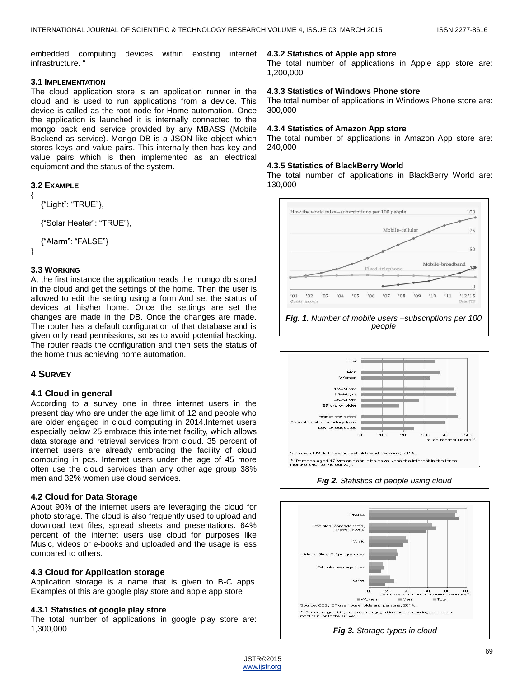embedded computing devices within existing internet infrastructure. '

# **3.1 IMPLEMENTATION**

The cloud application store is an application runner in the cloud and is used to run applications from a device. This device is called as the root node for Home automation. Once the application is launched it is internally connected to the mongo back end service provided by any MBASS (Mobile Backend as service). Mongo DB is a JSON like object which stores keys and value pairs. This internally then has key and value pairs which is then implemented as an electrical equipment and the status of the system.

## **3.2 EXAMPLE**

{

}

```
{―Light‖: ―TRUE‖},
{―Solar Heater‖: ―TRUE‖},
```
{"Alarm": "FALSE"}

# **3.3 WORKING**

At the first instance the application reads the mongo db stored in the cloud and get the settings of the home. Then the user is allowed to edit the setting using a form And set the status of devices at his/her home. Once the settings are set the changes are made in the DB. Once the changes are made. The router has a default configuration of that database and is given only read permissions, so as to avoid potential hacking. The router reads the configuration and then sets the status of the home thus achieving home automation.

# **4 SURVEY**

#### **4.1 Cloud in general**

According to a survey one in three internet users in the present day who are under the age limit of 12 and people who are older engaged in cloud computing in 2014.Internet users especially below 25 embrace this internet facility, which allows data storage and retrieval services from cloud. 35 percent of internet users are already embracing the facility of cloud computing in pcs. Internet users under the age of 45 more often use the cloud services than any other age group 38% men and 32% women use cloud services.

## **4.2 Cloud for Data Storage**

About 90% of the internet users are leveraging the cloud for photo storage. The cloud is also frequently used to upload and download text files, spread sheets and presentations. 64% percent of the internet users use cloud for purposes like Music, videos or e-books and uploaded and the usage is less compared to others.

#### **4.3 Cloud for Application storage**

Application storage is a name that is given to B-C apps. Examples of this are google play store and apple app store

#### **4.3.1 Statistics of google play store**

The total number of applications in google play store are: 1,300,000

#### **4.3.2 Statistics of Apple app store**

The total number of applications in Apple app store are: 1,200,000

#### **4.3.3 Statistics of Windows Phone store**

The total number of applications in Windows Phone store are: 300,000

#### **4.3.4 Statistics of Amazon App store**

The total number of applications in Amazon App store are: 240,000

#### **4.3.5 Statistics of BlackBerry World**

The total number of applications in BlackBerry World are: 130,000